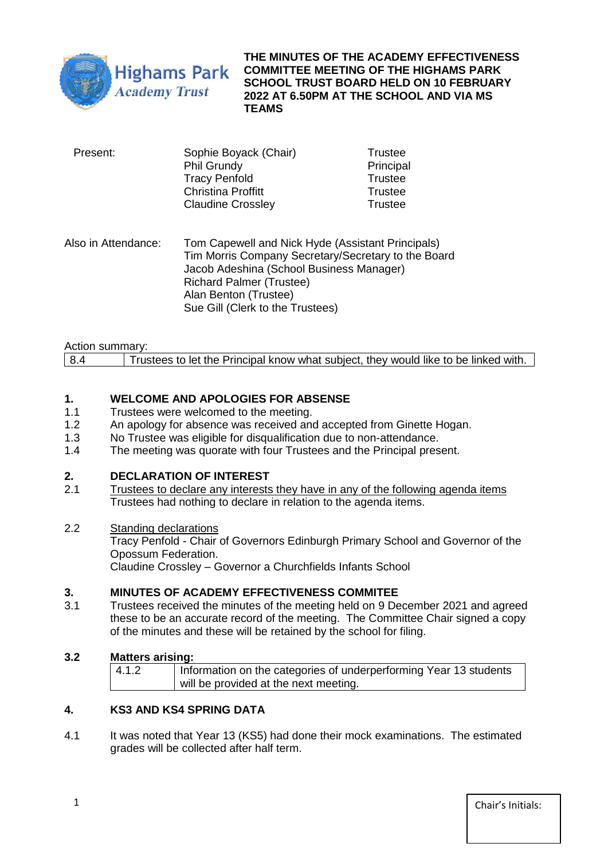

**THE MINUTES OF THE ACADEMY EFFECTIVENESS COMMITTEE MEETING OF THE HIGHAMS PARK SCHOOL TRUST BOARD HELD ON 10 FEBRUARY 2022 AT 6.50PM AT THE SCHOOL AND VIA MS TEAMS** 

| Present: | Sophie Boyack (Chair)<br><b>Phil Grundy</b> | <b>Trustee</b><br>Principal |  |
|----------|---------------------------------------------|-----------------------------|--|
|          | <b>Tracy Penfold</b>                        | Trustee                     |  |
|          | <b>Christina Proffitt</b>                   | <b>Trustee</b>              |  |
|          | <b>Claudine Crossley</b>                    | <b>Trustee</b>              |  |

Also in Attendance: Tom Capewell and Nick Hyde (Assistant Principals) Tim Morris Company Secretary/Secretary to the Board Jacob Adeshina (School Business Manager) Richard Palmer (Trustee) Alan Benton (Trustee) Sue Gill (Clerk to the Trustees)

| Action summary: |                                                                                     |
|-----------------|-------------------------------------------------------------------------------------|
| 8.4             | Trustees to let the Principal know what subject, they would like to be linked with. |

# **1. WELCOME AND APOLOGIES FOR ABSENSE**

- 1.1 Trustees were welcomed to the meeting.
- 1.2 An apology for absence was received and accepted from Ginette Hogan.
- 1.3 No Trustee was eligible for disqualification due to non-attendance.<br>1.4 The meeting was quorate with four Trustees and the Principal pres
- The meeting was quorate with four Trustees and the Principal present.

# **2. DECLARATION OF INTEREST**

2.1 Trustees to declare any interests they have in any of the following agenda items Trustees had nothing to declare in relation to the agenda items.

#### 2.2 Standing declarations

Tracy Penfold - Chair of Governors Edinburgh Primary School and Governor of the Opossum Federation.

Claudine Crossley – Governor a Churchfields Infants School

# **3. MINUTES OF ACADEMY EFFECTIVENESS COMMITEE**

3.1 Trustees received the minutes of the meeting held on 9 December 2021 and agreed these to be an accurate record of the meeting. The Committee Chair signed a copy of the minutes and these will be retained by the school for filing.

#### **3.2 Matters arising:**

| 4.1.2 | Information on the categories of underperforming Year 13 students |
|-------|-------------------------------------------------------------------|
|       | will be provided at the next meeting.                             |

# **4. KS3 AND KS4 SPRING DATA**

4.1 It was noted that Year 13 (KS5) had done their mock examinations. The estimated grades will be collected after half term.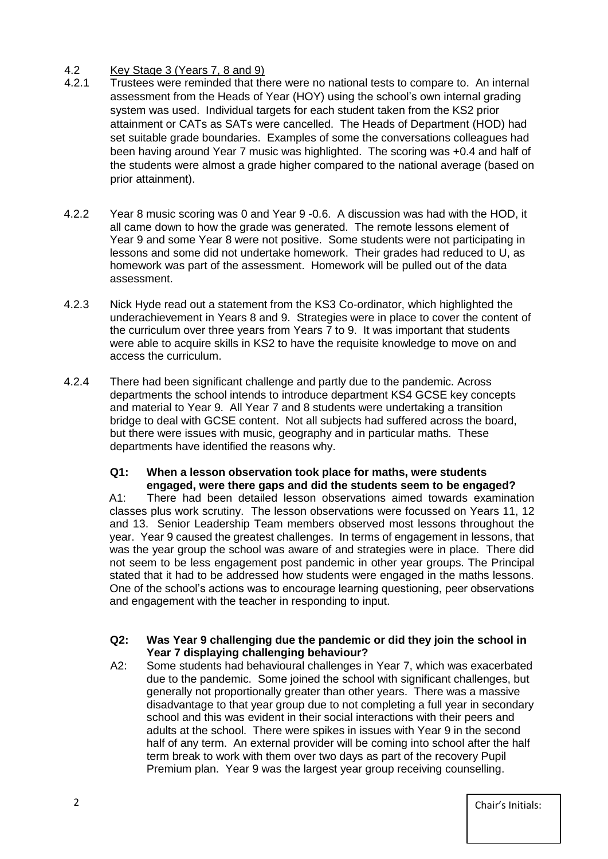## 4.2 Key Stage 3 (Years 7, 8 and 9)

- 4.2.1 Trustees were reminded that there were no national tests to compare to. An internal assessment from the Heads of Year (HOY) using the school's own internal grading system was used. Individual targets for each student taken from the KS2 prior attainment or CATs as SATs were cancelled. The Heads of Department (HOD) had set suitable grade boundaries. Examples of some the conversations colleagues had been having around Year 7 music was highlighted. The scoring was +0.4 and half of the students were almost a grade higher compared to the national average (based on prior attainment).
- 4.2.2 Year 8 music scoring was 0 and Year 9 -0.6. A discussion was had with the HOD, it all came down to how the grade was generated. The remote lessons element of Year 9 and some Year 8 were not positive. Some students were not participating in lessons and some did not undertake homework. Their grades had reduced to U, as homework was part of the assessment. Homework will be pulled out of the data assessment.
- 4.2.3 Nick Hyde read out a statement from the KS3 Co-ordinator, which highlighted the underachievement in Years 8 and 9. Strategies were in place to cover the content of the curriculum over three years from Years 7 to 9. It was important that students were able to acquire skills in KS2 to have the requisite knowledge to move on and access the curriculum.
- 4.2.4 There had been significant challenge and partly due to the pandemic. Across departments the school intends to introduce department KS4 GCSE key concepts and material to Year 9. All Year 7 and 8 students were undertaking a transition bridge to deal with GCSE content. Not all subjects had suffered across the board, but there were issues with music, geography and in particular maths. These departments have identified the reasons why.

#### **Q1: When a lesson observation took place for maths, were students engaged, were there gaps and did the students seem to be engaged?**

A1: There had been detailed lesson observations aimed towards examination classes plus work scrutiny. The lesson observations were focussed on Years 11, 12 and 13. Senior Leadership Team members observed most lessons throughout the year. Year 9 caused the greatest challenges. In terms of engagement in lessons, that was the year group the school was aware of and strategies were in place. There did not seem to be less engagement post pandemic in other year groups. The Principal stated that it had to be addressed how students were engaged in the maths lessons. One of the school's actions was to encourage learning questioning, peer observations and engagement with the teacher in responding to input.

#### **Q2: Was Year 9 challenging due the pandemic or did they join the school in Year 7 displaying challenging behaviour?**

A2: Some students had behavioural challenges in Year 7, which was exacerbated due to the pandemic. Some joined the school with significant challenges, but generally not proportionally greater than other years. There was a massive disadvantage to that year group due to not completing a full year in secondary school and this was evident in their social interactions with their peers and adults at the school. There were spikes in issues with Year 9 in the second half of any term. An external provider will be coming into school after the half term break to work with them over two days as part of the recovery Pupil Premium plan. Year 9 was the largest year group receiving counselling.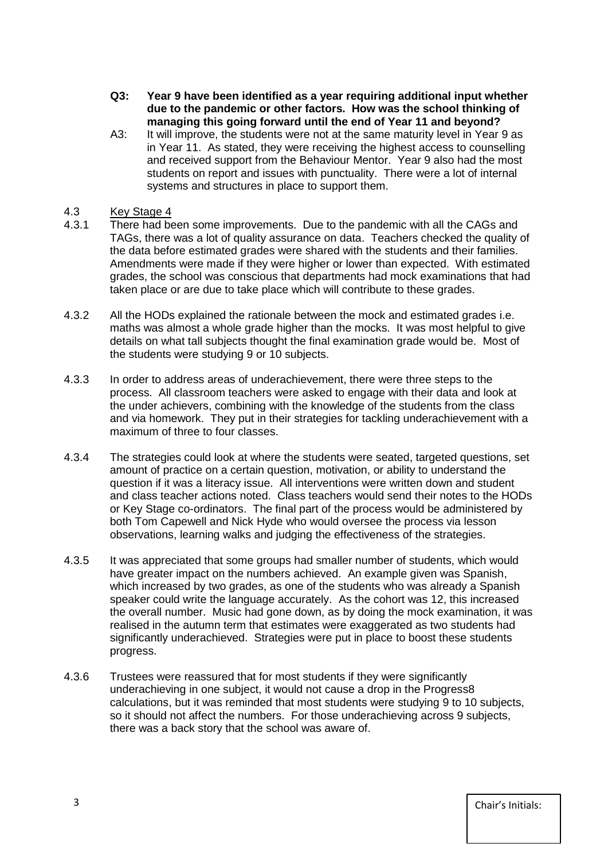- **Q3: Year 9 have been identified as a year requiring additional input whether due to the pandemic or other factors. How was the school thinking of managing this going forward until the end of Year 11 and beyond?**
- A3: It will improve, the students were not at the same maturity level in Year 9 as in Year 11. As stated, they were receiving the highest access to counselling and received support from the Behaviour Mentor. Year 9 also had the most students on report and issues with punctuality. There were a lot of internal systems and structures in place to support them.

#### 4.3 Key Stage 4

- 4.3.1 There had been some improvements. Due to the pandemic with all the CAGs and TAGs, there was a lot of quality assurance on data. Teachers checked the quality of the data before estimated grades were shared with the students and their families. Amendments were made if they were higher or lower than expected. With estimated grades, the school was conscious that departments had mock examinations that had taken place or are due to take place which will contribute to these grades.
- 4.3.2 All the HODs explained the rationale between the mock and estimated grades i.e. maths was almost a whole grade higher than the mocks. It was most helpful to give details on what tall subjects thought the final examination grade would be. Most of the students were studying 9 or 10 subjects.
- 4.3.3 In order to address areas of underachievement, there were three steps to the process. All classroom teachers were asked to engage with their data and look at the under achievers, combining with the knowledge of the students from the class and via homework. They put in their strategies for tackling underachievement with a maximum of three to four classes.
- 4.3.4 The strategies could look at where the students were seated, targeted questions, set amount of practice on a certain question, motivation, or ability to understand the question if it was a literacy issue. All interventions were written down and student and class teacher actions noted. Class teachers would send their notes to the HODs or Key Stage co-ordinators. The final part of the process would be administered by both Tom Capewell and Nick Hyde who would oversee the process via lesson observations, learning walks and judging the effectiveness of the strategies.
- 4.3.5 It was appreciated that some groups had smaller number of students, which would have greater impact on the numbers achieved. An example given was Spanish, which increased by two grades, as one of the students who was already a Spanish speaker could write the language accurately. As the cohort was 12, this increased the overall number. Music had gone down, as by doing the mock examination, it was realised in the autumn term that estimates were exaggerated as two students had significantly underachieved. Strategies were put in place to boost these students progress.
- 4.3.6 Trustees were reassured that for most students if they were significantly underachieving in one subject, it would not cause a drop in the Progress8 calculations, but it was reminded that most students were studying 9 to 10 subjects, so it should not affect the numbers. For those underachieving across 9 subjects, there was a back story that the school was aware of.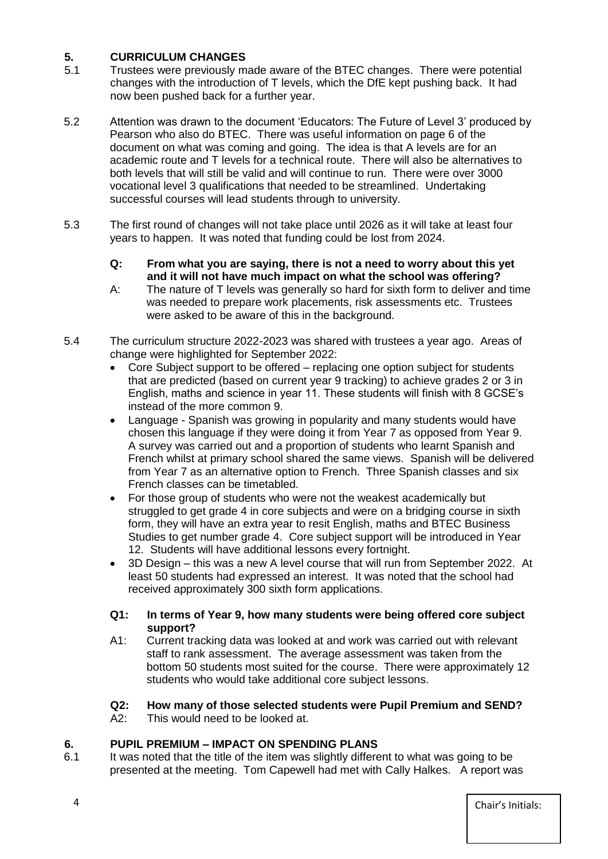# **5. CURRICULUM CHANGES**

- 5.1 Trustees were previously made aware of the BTEC changes. There were potential changes with the introduction of T levels, which the DfE kept pushing back. It had now been pushed back for a further year.
- 5.2 Attention was drawn to the document 'Educators: The Future of Level 3' produced by Pearson who also do BTEC. There was useful information on page 6 of the document on what was coming and going. The idea is that A levels are for an academic route and T levels for a technical route. There will also be alternatives to both levels that will still be valid and will continue to run. There were over 3000 vocational level 3 qualifications that needed to be streamlined. Undertaking successful courses will lead students through to university.
- 5.3 The first round of changes will not take place until 2026 as it will take at least four years to happen. It was noted that funding could be lost from 2024.
	- **Q: From what you are saying, there is not a need to worry about this yet and it will not have much impact on what the school was offering?**
	- A: The nature of T levels was generally so hard for sixth form to deliver and time was needed to prepare work placements, risk assessments etc. Trustees were asked to be aware of this in the background.
- 5.4 The curriculum structure 2022-2023 was shared with trustees a year ago. Areas of change were highlighted for September 2022:
	- Core Subject support to be offered replacing one option subject for students that are predicted (based on current year 9 tracking) to achieve grades 2 or 3 in English, maths and science in year 11. These students will finish with 8 GCSE's instead of the more common 9.
	- Language Spanish was growing in popularity and many students would have chosen this language if they were doing it from Year 7 as opposed from Year 9. A survey was carried out and a proportion of students who learnt Spanish and French whilst at primary school shared the same views. Spanish will be delivered from Year 7 as an alternative option to French. Three Spanish classes and six French classes can be timetabled.
	- For those group of students who were not the weakest academically but struggled to get grade 4 in core subjects and were on a bridging course in sixth form, they will have an extra year to resit English, maths and BTEC Business Studies to get number grade 4. Core subject support will be introduced in Year 12. Students will have additional lessons every fortnight.
	- 3D Design this was a new A level course that will run from September 2022. At least 50 students had expressed an interest. It was noted that the school had received approximately 300 sixth form applications.

#### **Q1: In terms of Year 9, how many students were being offered core subject support?**

A1: Current tracking data was looked at and work was carried out with relevant staff to rank assessment. The average assessment was taken from the bottom 50 students most suited for the course. There were approximately 12 students who would take additional core subject lessons.

# **Q2: How many of those selected students were Pupil Premium and SEND?**

A2: This would need to be looked at.

# **6. PUPIL PREMIUM – IMPACT ON SPENDING PLANS**

6.1 It was noted that the title of the item was slightly different to what was going to be presented at the meeting. Tom Capewell had met with Cally Halkes. A report was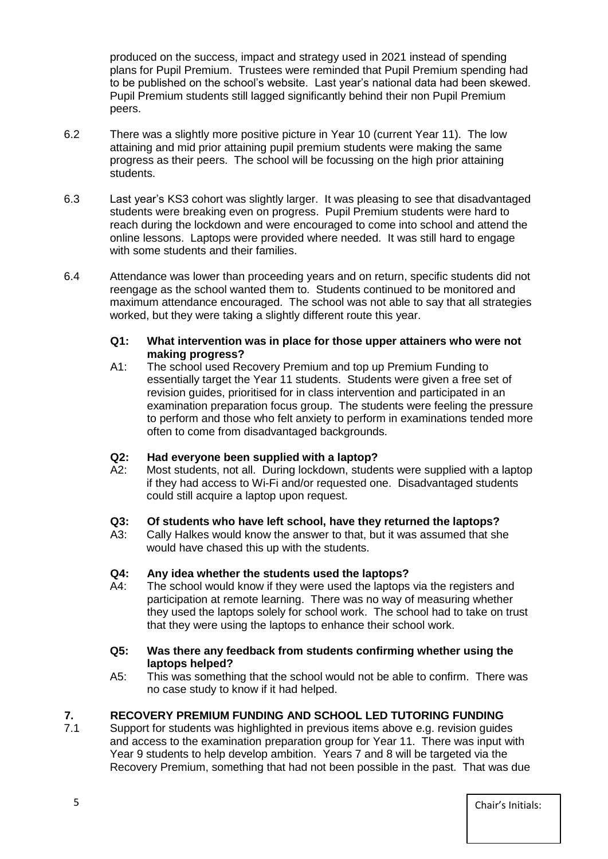produced on the success, impact and strategy used in 2021 instead of spending plans for Pupil Premium. Trustees were reminded that Pupil Premium spending had to be published on the school's website. Last year's national data had been skewed. Pupil Premium students still lagged significantly behind their non Pupil Premium peers.

- 6.2 There was a slightly more positive picture in Year 10 (current Year 11). The low attaining and mid prior attaining pupil premium students were making the same progress as their peers. The school will be focussing on the high prior attaining students.
- 6.3 Last year's KS3 cohort was slightly larger. It was pleasing to see that disadvantaged students were breaking even on progress. Pupil Premium students were hard to reach during the lockdown and were encouraged to come into school and attend the online lessons. Laptops were provided where needed. It was still hard to engage with some students and their families.
- 6.4 Attendance was lower than proceeding years and on return, specific students did not reengage as the school wanted them to. Students continued to be monitored and maximum attendance encouraged. The school was not able to say that all strategies worked, but they were taking a slightly different route this year.

#### **Q1: What intervention was in place for those upper attainers who were not making progress?**

A1: The school used Recovery Premium and top up Premium Funding to essentially target the Year 11 students. Students were given a free set of revision guides, prioritised for in class intervention and participated in an examination preparation focus group. The students were feeling the pressure to perform and those who felt anxiety to perform in examinations tended more often to come from disadvantaged backgrounds.

# **Q2: Had everyone been supplied with a laptop?**

A2: Most students, not all. During lockdown, students were supplied with a laptop if they had access to Wi-Fi and/or requested one. Disadvantaged students could still acquire a laptop upon request.

# **Q3: Of students who have left school, have they returned the laptops?**

A3: Cally Halkes would know the answer to that, but it was assumed that she would have chased this up with the students.

# **Q4: Any idea whether the students used the laptops?**

A4: The school would know if they were used the laptops via the registers and participation at remote learning. There was no way of measuring whether they used the laptops solely for school work. The school had to take on trust that they were using the laptops to enhance their school work.

#### **Q5: Was there any feedback from students confirming whether using the laptops helped?**

A5: This was something that the school would not be able to confirm. There was no case study to know if it had helped.

# **7. RECOVERY PREMIUM FUNDING AND SCHOOL LED TUTORING FUNDING**

7.1 Support for students was highlighted in previous items above e.g. revision guides and access to the examination preparation group for Year 11. There was input with Year 9 students to help develop ambition. Years 7 and 8 will be targeted via the Recovery Premium, something that had not been possible in the past. That was due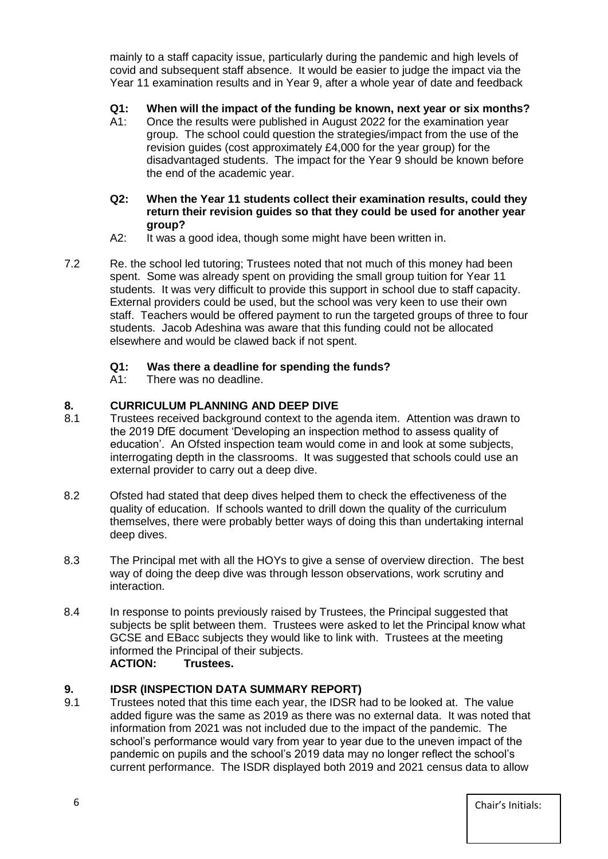mainly to a staff capacity issue, particularly during the pandemic and high levels of covid and subsequent staff absence. It would be easier to judge the impact via the Year 11 examination results and in Year 9, after a whole year of date and feedback

## **Q1: When will the impact of the funding be known, next year or six months?**

A1: Once the results were published in August 2022 for the examination year group. The school could question the strategies/impact from the use of the revision guides (cost approximately £4,000 for the year group) for the disadvantaged students. The impact for the Year 9 should be known before the end of the academic year.

#### **Q2: When the Year 11 students collect their examination results, could they return their revision guides so that they could be used for another year group?**

- A2: It was a good idea, though some might have been written in.
- 7.2 Re. the school led tutoring; Trustees noted that not much of this money had been spent. Some was already spent on providing the small group tuition for Year 11 students. It was very difficult to provide this support in school due to staff capacity. External providers could be used, but the school was very keen to use their own staff. Teachers would be offered payment to run the targeted groups of three to four students. Jacob Adeshina was aware that this funding could not be allocated elsewhere and would be clawed back if not spent.

# **Q1: Was there a deadline for spending the funds?**

A1: There was no deadline.

## **8. CURRICULUM PLANNING AND DEEP DIVE**

- 8.1 Trustees received background context to the agenda item. Attention was drawn to the 2019 DfE document 'Developing an inspection method to assess quality of education'. An Ofsted inspection team would come in and look at some subjects, interrogating depth in the classrooms. It was suggested that schools could use an external provider to carry out a deep dive.
- 8.2 Ofsted had stated that deep dives helped them to check the effectiveness of the quality of education. If schools wanted to drill down the quality of the curriculum themselves, there were probably better ways of doing this than undertaking internal deep dives.
- 8.3 The Principal met with all the HOYs to give a sense of overview direction. The best way of doing the deep dive was through lesson observations, work scrutiny and interaction.
- 8.4 In response to points previously raised by Trustees, the Principal suggested that subjects be split between them. Trustees were asked to let the Principal know what GCSE and EBacc subjects they would like to link with. Trustees at the meeting informed the Principal of their subjects. **ACTION: Trustees.**

#### **9. IDSR (INSPECTION DATA SUMMARY REPORT)**

9.1 Trustees noted that this time each year, the IDSR had to be looked at. The value added figure was the same as 2019 as there was no external data. It was noted that information from 2021 was not included due to the impact of the pandemic. The school's performance would vary from year to year due to the uneven impact of the pandemic on pupils and the school's 2019 data may no longer reflect the school's current performance. The ISDR displayed both 2019 and 2021 census data to allow